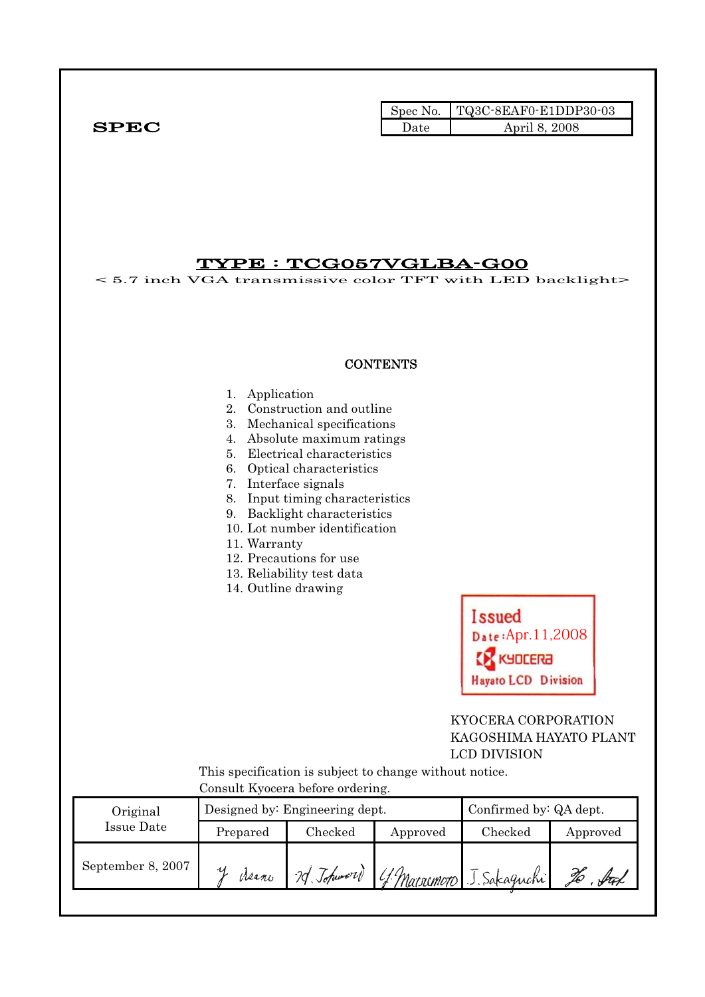Spec No. TQ3C-8EAF0-E1DDP30-03  $SPEC$  Date April 8, 2008

## TYPE : TCG057VGLBA-G00

< 5.7 inch VGA transmissive color TFT with LED backlight>

#### **CONTENTS**

#### 1. Application

- 2. Construction and outline
- 3. Mechanical specifications
- 4. Absolute maximum ratings
- 5. Electrical characteristics
- 6. Optical characteristics
- 7. Interface signals
- 8. Input timing characteristics
- 9. Backlight characteristics
- 10. Lot number identification
- 11. Warranty
- 12. Precautions for use
- 13. Reliability test data
- 14. Outline drawing

**Issued** Apr.11,2008**EX KYDCERA Havato LCD Division** 

### KYOCERA CORPORATION KAGOSHIMA HAYATO PLANT LCD DIVISION

 This specification is subject to change without notice. Consult Kyocera before ordering.

| Original          |          | Designed by: Engineering dept. | Confirmed by: QA dept. |                          |          |
|-------------------|----------|--------------------------------|------------------------|--------------------------|----------|
| Issue Date        | Prepared |                                | Checked<br>Approved    |                          | Approved |
| September 8, 2007 | Meano    | 20 Johnword                    |                        | 4 Marsumoto J. Sakaguchi |          |
|                   |          |                                |                        |                          |          |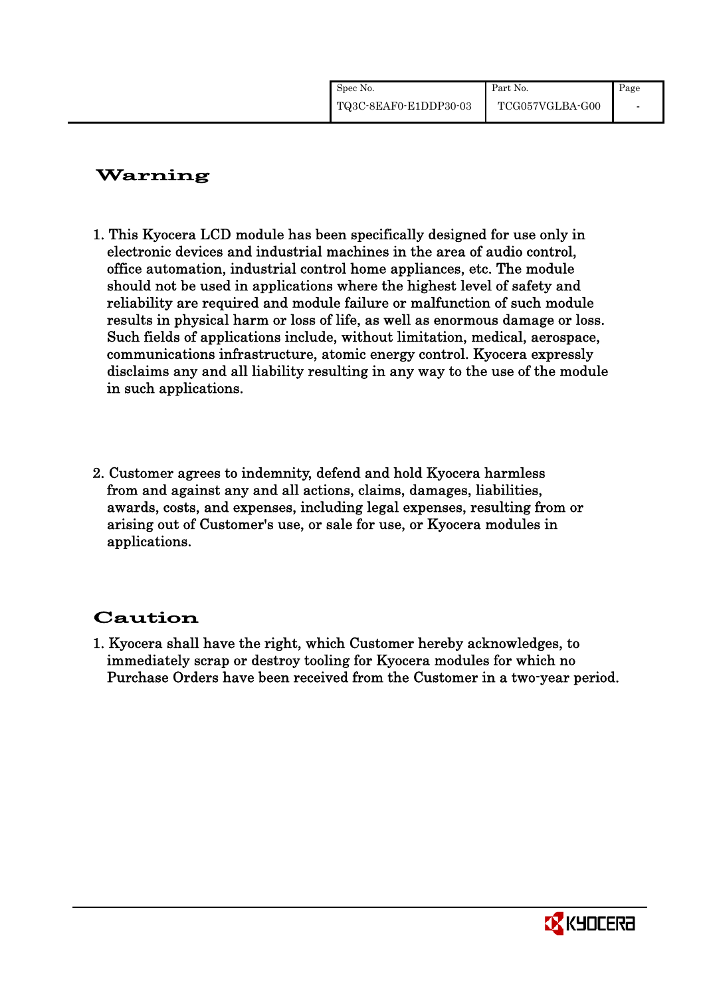| Spec No.              | Part No.        | Page |
|-----------------------|-----------------|------|
| TQ3C-8EAF0-E1DDP30-03 | TCG057VGLBA-G00 |      |

## Warning

- 1. This Kyocera LCD module has been specifically designed for use only in electronic devices and industrial machines in the area of audio control, office automation, industrial control home appliances, etc. The module should not be used in applications where the highest level of safety and reliability are required and module failure or malfunction of such module results in physical harm or loss of life, as well as enormous damage or loss. Such fields of applications include, without limitation, medical, aerospace, communications infrastructure, atomic energy control. Kyocera expressly disclaims any and all liability resulting in any way to the use of the module in such applications.
- 2. Customer agrees to indemnity, defend and hold Kyocera harmless from and against any and all actions, claims, damages, liabilities, awards, costs, and expenses, including legal expenses, resulting from or arising out of Customer's use, or sale for use, or Kyocera modules in applications.

# Caution

1. Kyocera shall have the right, which Customer hereby acknowledges, to immediately scrap or destroy tooling for Kyocera modules for which no Purchase Orders have been received from the Customer in a two-year period.

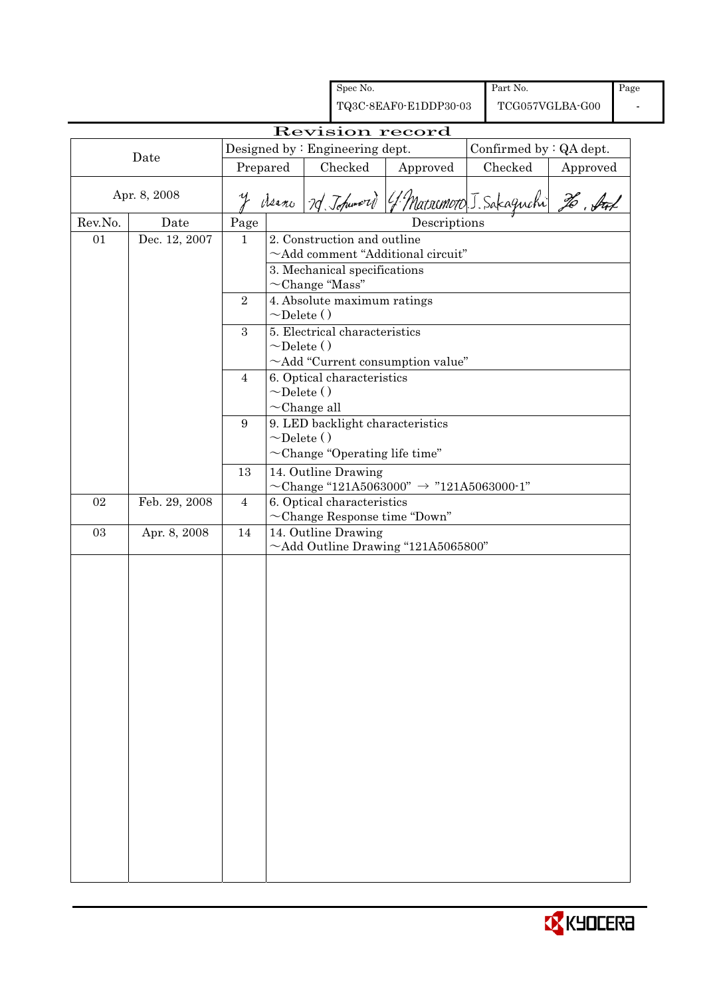|         |               |                |                   | Spec No.                                            |                                                           |                 | Part No.                |          | Page |
|---------|---------------|----------------|-------------------|-----------------------------------------------------|-----------------------------------------------------------|-----------------|-------------------------|----------|------|
|         |               |                |                   |                                                     | TQ3C-8EAF0-E1DDP30-03                                     | TCG057VGLBA-G00 |                         |          |      |
|         |               |                |                   |                                                     | Revision record                                           |                 |                         |          |      |
|         |               |                |                   | Designed by $:$ Engineering dept.                   |                                                           |                 | Confirmed by : QA dept. |          |      |
|         | Date          | Prepared       |                   | Checked                                             | Approved                                                  |                 | Checked                 | Approved |      |
|         |               |                |                   |                                                     |                                                           |                 |                         |          |      |
|         | Apr. 8, 2008  |                |                   |                                                     | y derno 10 Johnword (f. Matrimoro J. Sakaguchi 26, Aux    |                 |                         |          |      |
| Rev.No. | Date          | Page           |                   |                                                     | Descriptions                                              |                 |                         |          |      |
| 01      | Dec. 12, 2007 | $\mathbf{1}$   |                   | 2. Construction and outline                         |                                                           |                 |                         |          |      |
|         |               |                |                   |                                                     | $\sim$ Add comment "Additional circuit"                   |                 |                         |          |      |
|         |               |                |                   | 3. Mechanical specifications                        |                                                           |                 |                         |          |      |
|         |               | 2              |                   | $\sim$ Change "Mass"<br>4. Absolute maximum ratings |                                                           |                 |                         |          |      |
|         |               |                | $\sim$ Delete ()  |                                                     |                                                           |                 |                         |          |      |
|         |               | 3              |                   | 5. Electrical characteristics                       |                                                           |                 |                         |          |      |
|         |               |                | $\sim$ Delete ()  |                                                     |                                                           |                 |                         |          |      |
|         |               |                |                   |                                                     | $\sim$ Add "Current consumption value"                    |                 |                         |          |      |
|         |               | 4              |                   | 6. Optical characteristics                          |                                                           |                 |                         |          |      |
|         |               |                | $\sim$ Delete ()  |                                                     |                                                           |                 |                         |          |      |
|         |               |                | $\sim$ Change all |                                                     |                                                           |                 |                         |          |      |
|         |               | 9              | $\sim$ Delete ()  |                                                     | 9. LED backlight characteristics                          |                 |                         |          |      |
|         |               |                |                   |                                                     | $\sim$ Change "Operating life time"                       |                 |                         |          |      |
|         |               |                |                   |                                                     |                                                           |                 |                         |          |      |
|         |               | 13             |                   | 14. Outline Drawing                                 | $\sim$ Change "121A5063000" $\rightarrow$ "121A5063000-1" |                 |                         |          |      |
| 02      | Feb. 29, 2008 | $\overline{4}$ |                   | 6. Optical characteristics                          |                                                           |                 |                         |          |      |
|         |               |                |                   |                                                     | $\sim$ Change Response time "Down"                        |                 |                         |          |      |
| 03      | Apr. 8, 2008  | 14             |                   | $14.$ Outline Drawing                               |                                                           |                 |                         |          |      |
|         |               |                |                   |                                                     | $\sim$ Add Outline Drawing "121A5065800"                  |                 |                         |          |      |
|         |               |                |                   |                                                     |                                                           |                 |                         |          |      |
|         |               |                |                   |                                                     |                                                           |                 |                         |          |      |
|         |               |                |                   |                                                     |                                                           |                 |                         |          |      |
|         |               |                |                   |                                                     |                                                           |                 |                         |          |      |
|         |               |                |                   |                                                     |                                                           |                 |                         |          |      |
|         |               |                |                   |                                                     |                                                           |                 |                         |          |      |
|         |               |                |                   |                                                     |                                                           |                 |                         |          |      |
|         |               |                |                   |                                                     |                                                           |                 |                         |          |      |
|         |               |                |                   |                                                     |                                                           |                 |                         |          |      |
|         |               |                |                   |                                                     |                                                           |                 |                         |          |      |
|         |               |                |                   |                                                     |                                                           |                 |                         |          |      |
|         |               |                |                   |                                                     |                                                           |                 |                         |          |      |
|         |               |                |                   |                                                     |                                                           |                 |                         |          |      |
|         |               |                |                   |                                                     |                                                           |                 |                         |          |      |
|         |               |                |                   |                                                     |                                                           |                 |                         |          |      |
|         |               |                |                   |                                                     |                                                           |                 |                         |          |      |
|         |               |                |                   |                                                     |                                                           |                 |                         |          |      |
|         |               |                |                   |                                                     |                                                           |                 |                         |          |      |
|         |               |                |                   |                                                     |                                                           |                 |                         |          |      |

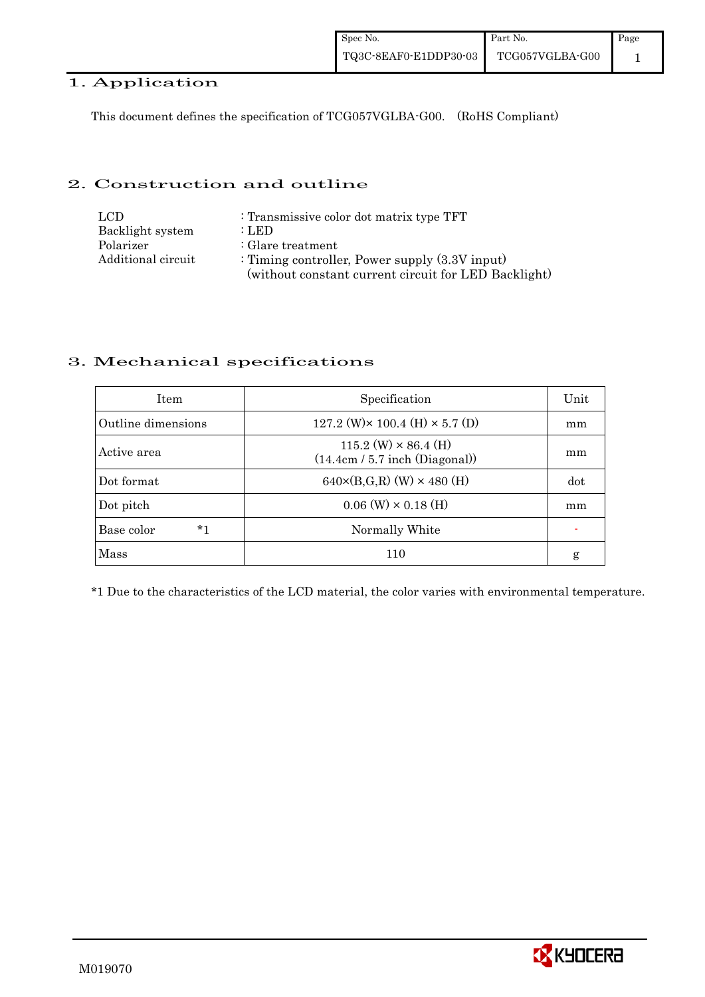#### 1. Application

This document defines the specification of TCG057VGLBA-G00. (RoHS Compliant)

#### 2. Construction and outline

| LCD.               | : Transmissive color dot matrix type TFT             |
|--------------------|------------------------------------------------------|
| Backlight system   | : LED                                                |
| Polarizer          | $\therefore$ Glare treatment                         |
| Additional circuit | : Timing controller, Power supply $(3.3V)$ input)    |
|                    | (without constant current circuit for LED Backlight) |

### 3. Mechanical specifications

| <b>Item</b>        | Specification                                                   | Unit |
|--------------------|-----------------------------------------------------------------|------|
| Outline dimensions | 127.2 (W) $\times$ 100.4 (H) $\times$ 5.7 (D)                   | mm   |
| Active area        | $115.2$ (W) $\times$ 86.4 (H)<br>(14.4cm / 5.7 inch (Diagonal)) | mm   |
| Dot format         | $640 \times (B,G,R)$ (W) $\times 480$ (H)                       | dot  |
| Dot pitch          | $0.06$ (W) $\times$ 0.18 (H)                                    | mm   |
| $*1$<br>Base color | Normally White                                                  |      |
| Mass               | 110                                                             | g    |

\*1 Due to the characteristics of the LCD material, the color varies with environmental temperature.

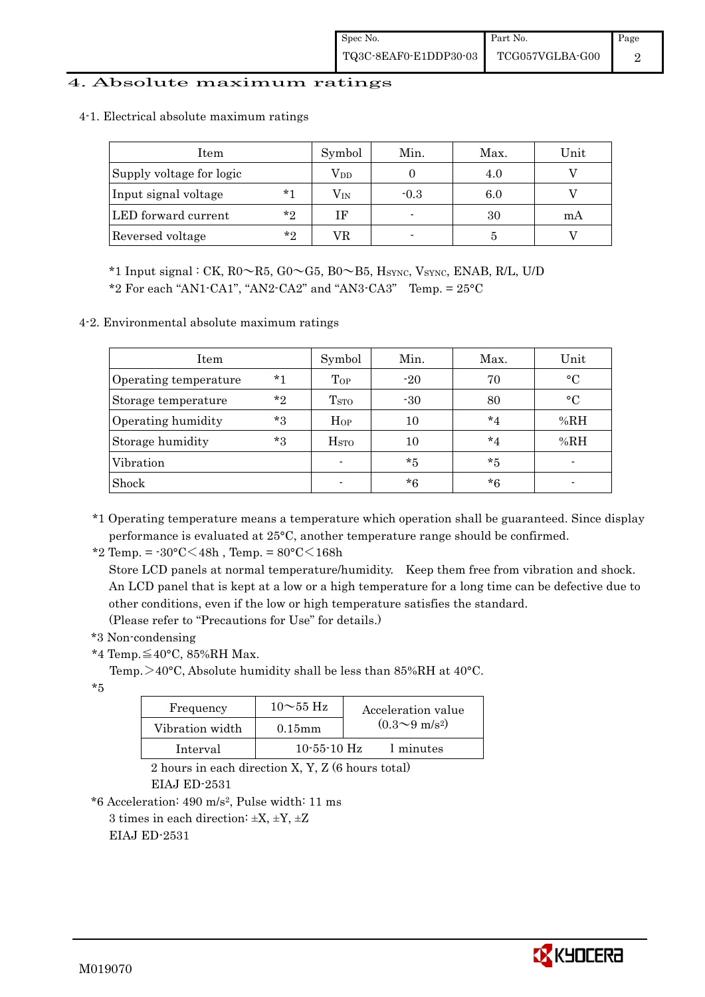#### 4. Absolute maximum ratings

| Item                     |         | Symbol       | Min.   | Max. | Unit |
|--------------------------|---------|--------------|--------|------|------|
| Supply voltage for logic |         | $\rm V_{DD}$ |        | 4.0  |      |
| Input signal voltage     | $*1$    | $\rm V_{IN}$ | $-0.3$ | 6.0  |      |
| LED forward current      | $*_{2}$ | ΙF           | -      | 30   | mA   |
| Reversed voltage         | $*_{2}$ | VR.          |        |      |      |

4-1. Electrical absolute maximum ratings

\*1 Input signal : CK,  $R0 \sim R5$ ,  $G0 \sim G5$ ,  $B0 \sim B5$ ,  $H<sub>SYNC</sub>$ ,  $V<sub>SYNC</sub>$ ,  $ENAB$ ,  $R/L$ ,  $U/D$ 

\*2 For each "AN1-CA1", "AN2-CA2" and "AN3-CA3" Temp.  $= 25^{\circ}$ C

4-2. Environmental absolute maximum ratings

| Item                  |       | Symbol                  | Min.    | Max.    | Unit      |
|-----------------------|-------|-------------------------|---------|---------|-----------|
| Operating temperature | $*1$  | Top                     | $-20$   | 70      | $\circ$ C |
| Storage temperature   | $*$ ? | T <sub>STO</sub>        | $-30$   | 80      | $\circ$ C |
| Operating humidity    | $*3$  | Hop                     | $10\,$  | $*_{4}$ | %RH       |
| Storage humidity      | $*3$  | <b>H</b> <sub>sto</sub> | 10      | $*_{4}$ | %RH       |
| Vibration             |       | $\blacksquare$          | $*_{5}$ | $*5$    |           |
| Shock                 |       |                         | $*6$    | $*6$    |           |

\*1 Operating temperature means a temperature which operation shall be guaranteed. Since display performance is evaluated at 25°C, another temperature range should be confirmed.

\*2 Temp. =  $-30^{\circ}$ C $<$ 48h, Temp. =  $80^{\circ}$ C $<$ 168h

 Store LCD panels at normal temperature/humidity. Keep them free from vibration and shock. An LCD panel that is kept at a low or a high temperature for a long time can be defective due to other conditions, even if the low or high temperature satisfies the standard. (Please refer to "Precautions for Use" for details.)

\*3 Non-condensing

\*4 Temp.≦40°C, 85%RH Max.

Temp.  $>40^{\circ}$ C, Absolute humidity shall be less than 85%RH at 40 $^{\circ}$ C.

\*5

| Frequency       | $10\sim$ 55 Hz    | Acceleration value           |  |  |
|-----------------|-------------------|------------------------------|--|--|
| Vibration width | $0.15$ mm         | $(0.3 \sim 9 \text{ m/s}^2)$ |  |  |
| Interval        | $10 - 55 - 10$ Hz | 1 minutes                    |  |  |

 2 hours in each direction X, Y, Z (6 hours total) EIAJ ED-2531

\*6 Acceleration: 490 m/s2, Pulse width: 11 ms

3 times in each direction:  $\pm X$ ,  $\pm Y$ ,  $\pm Z$ 

EIAJ ED-2531

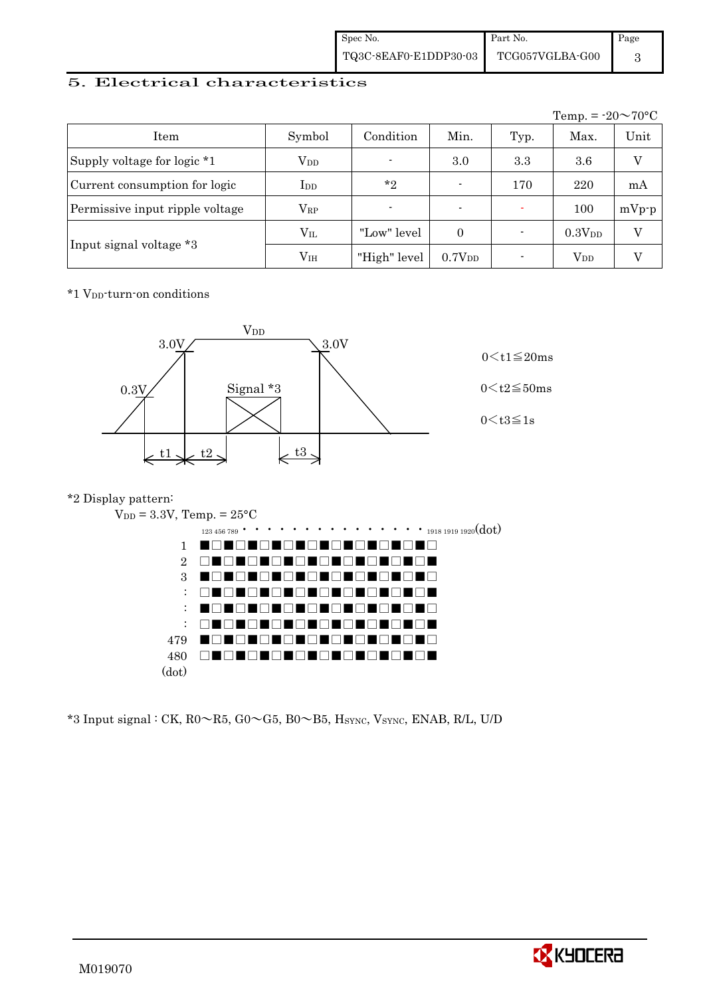| Spec No.              | Part No.        | Page |
|-----------------------|-----------------|------|
| TQ3C-8EAF0-E1DDP30-03 | TCG057VGLBA-G00 |      |

#### 5. Electrical characteristics

|                                 |               |                |                          |      | Temp. = $-20 \sim 70$ °C |         |
|---------------------------------|---------------|----------------|--------------------------|------|--------------------------|---------|
| Item                            | Symbol        | Condition      | Min.                     | Typ. | Max.                     | Unit    |
| Supply voltage for logic *1     | $\rm V_{DD}$  | $\blacksquare$ | 3.0                      | 3.3  | 3.6                      | V       |
| Current consumption for logic   | $_{\rm{LDD}}$ | $*_{2}$        | $\blacksquare$           | 170  | 220                      | mA      |
| Permissive input ripple voltage | $\rm V_{RP}$  | $\blacksquare$ | $\overline{\phantom{0}}$ |      | 100                      | $mVp-p$ |
|                                 | $\rm V_{II}$  | "Low" level    | $\Omega$                 |      | 0.3V <sub>DD</sub>       | V       |
| Input signal voltage *3         | $\rm V_{IH}$  | "High" level   | 0.7V <sub>DD</sub>       |      | $\rm V_{DD}$             |         |

\*1 VDD-turn-on conditions



### \*2 Display pattern:



 $*3$  Input signal : CK, R0 $\sim$ R5, G0 $\sim$ G5, B0 $\sim$ B5, H<sub>SYNC</sub>, V<sub>SYNC</sub>, ENAB, R/L, U/D

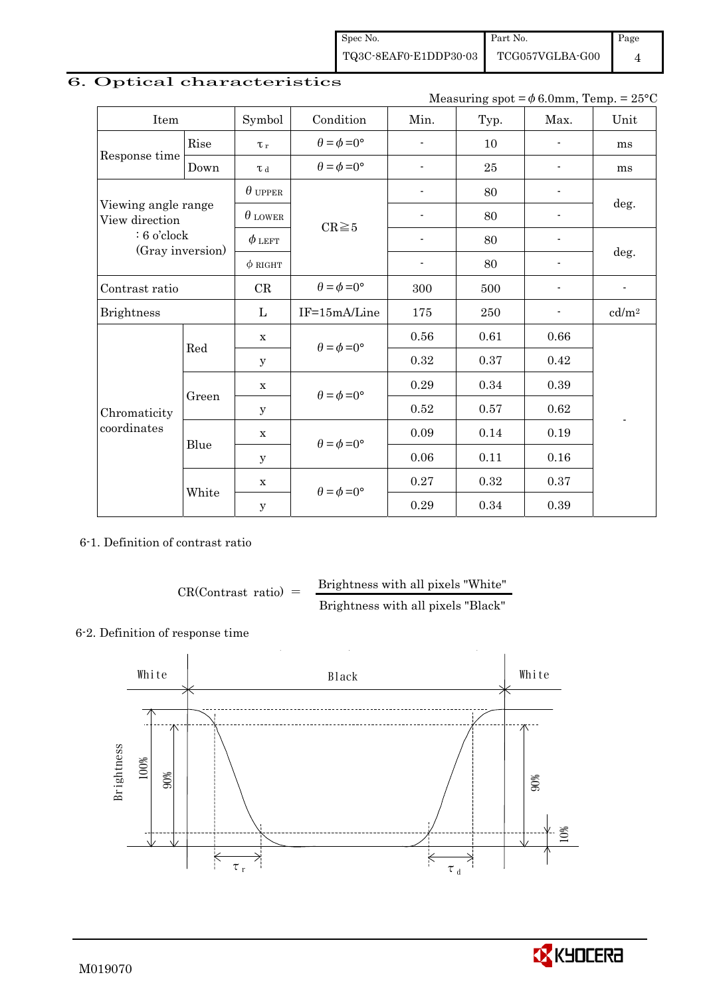Spec No. TQ3C-8EAF0-E1DDP30-03 Part No. TCG057VGLBA-G00

Page 4

## 6. Optical characteristics

Measuring spot =  $\phi$  6.0mm, Temp. = 25°C

| Item                                  |       | Symbol         | Condition                   | Min.                     | Typ. | Max.           | Unit                     |
|---------------------------------------|-------|----------------|-----------------------------|--------------------------|------|----------------|--------------------------|
|                                       | Rise  | $\tau_r$       | $\theta = \phi = 0^{\circ}$ | $\overline{\phantom{a}}$ | 10   | $\blacksquare$ | ms                       |
| Response time                         | Down  | $\tau$ d       | $\theta = \phi = 0^{\circ}$ | $\blacksquare$           | 25   |                | ms                       |
|                                       |       | $\theta$ upper |                             | $\overline{a}$           | 80   |                |                          |
| Viewing angle range<br>View direction |       | $\theta$ lower | $CR \ge 5$                  | $\overline{\phantom{0}}$ | 80   |                | deg.                     |
| $: 6$ o'clock                         |       | $\phi$ left    |                             | $\overline{\phantom{0}}$ | 80   |                |                          |
| (Gray inversion)                      |       | $\phi$ RIGHT   |                             | $\overline{\phantom{a}}$ | 80   |                | deg.                     |
| Contrast ratio                        |       | CR             | $\theta = \phi = 0^{\circ}$ | 300                      | 500  |                | $\overline{\phantom{a}}$ |
| <b>Brightness</b>                     |       | L              | IF=15mA/Line                | 175                      | 250  |                | cd/m <sup>2</sup>        |
|                                       | Red   | $\mathbf X$    | $\theta = \phi = 0^{\circ}$ | 0.56                     | 0.61 | 0.66           |                          |
|                                       |       | У              |                             | 0.32                     | 0.37 | 0.42           |                          |
|                                       |       | X              | $\theta = \phi = 0^{\circ}$ | 0.29                     | 0.34 | 0.39           |                          |
| Chromaticity                          | Green | $\mathbf y$    |                             | 0.52                     | 0.57 | 0.62           | $\overline{a}$           |
| coordinates                           | Blue  | X              | $\theta = \phi = 0^{\circ}$ | 0.09                     | 0.14 | 0.19           |                          |
|                                       |       | У              |                             | 0.06                     | 0.11 | 0.16           |                          |
|                                       |       | X              |                             | 0.27                     | 0.32 | 0.37           |                          |
|                                       | White | $\mathbf y$    | $\theta = \phi = 0^{\circ}$ | 0.29                     | 0.34 | 0.39           |                          |

6-1. Definition of contrast ratio

$$
CR(Contrast ratio) = \frac{Brightness with all pixels "White"
$$
  
Brightness with all pixels "Black"

#### 6-2. Definition of response time



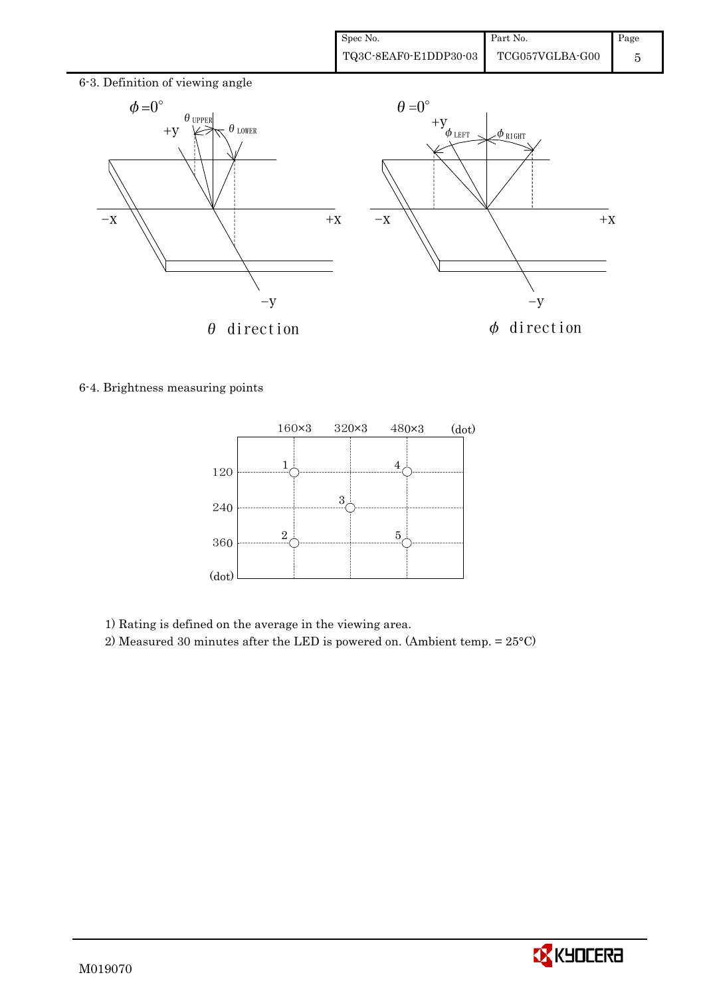

6-4. Brightness measuring points



1) Rating is defined on the average in the viewing area.

2) Measured 30 minutes after the LED is powered on. (Ambient temp. = 25°C)

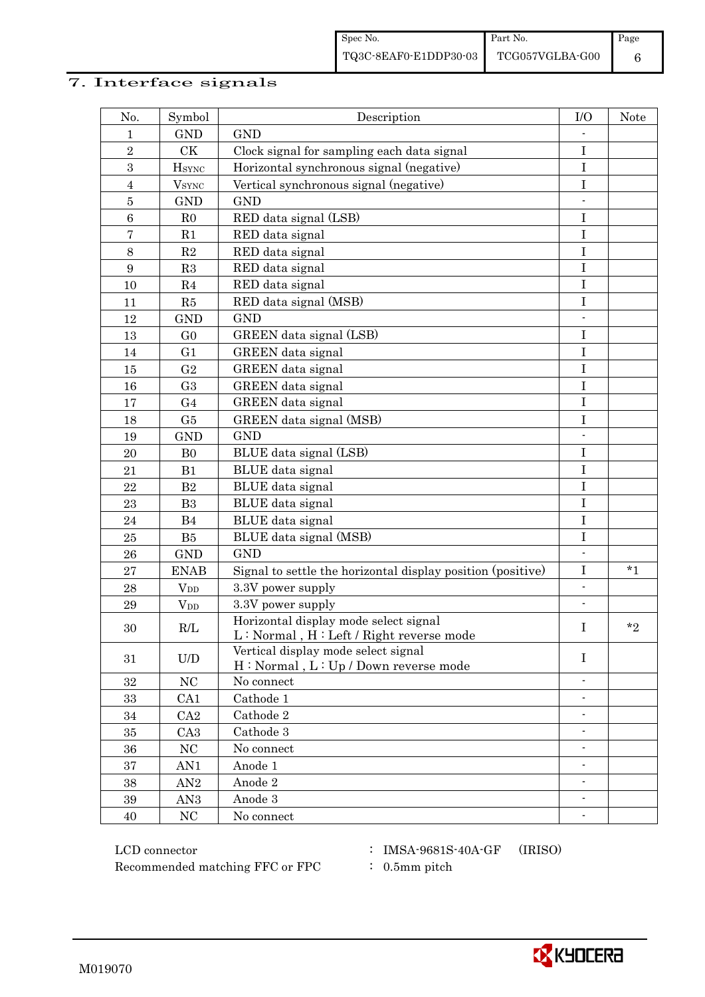## 7. Interface signals

| No.             | Symbol                 | Description                                                                        | I/O                      | Note    |
|-----------------|------------------------|------------------------------------------------------------------------------------|--------------------------|---------|
| 1               | <b>GND</b>             | <b>GND</b>                                                                         |                          |         |
| $\sqrt{2}$      | CK                     | Clock signal for sampling each data signal                                         | $\bf I$                  |         |
| 3               | $H_{\rm SYNC}$         | Horizontal synchronous signal (negative)                                           | $\mathbf I$              |         |
| $\overline{4}$  | $V_{\rm SYNC}$         | Vertical synchronous signal (negative)                                             | I                        |         |
| $\bf 5$         | <b>GND</b>             | <b>GND</b>                                                                         |                          |         |
| $\,6\,$         | R <sub>0</sub>         | RED data signal (LSB)                                                              | I                        |         |
| $\overline{7}$  | R1                     | RED data signal                                                                    | $\bf I$                  |         |
| $8\,$           | R2                     | RED data signal                                                                    | $\rm I$                  |         |
| $9\phantom{.0}$ | R3                     | RED data signal                                                                    | $\mathbf I$              |         |
| 10              | R <sub>4</sub>         | RED data signal                                                                    | Ι                        |         |
| 11              | R5                     | RED data signal (MSB)                                                              | $\mathbf I$              |         |
| 12              | <b>GND</b>             | <b>GND</b>                                                                         |                          |         |
| 13              | G <sub>0</sub>         | GREEN data signal (LSB)                                                            | $\rm I$                  |         |
| 14              | G <sub>1</sub>         | GREEN data signal                                                                  | $\mathbf I$              |         |
| 15              | G <sub>2</sub>         | GREEN data signal                                                                  | Ι                        |         |
| 16              | G <sub>3</sub>         | GREEN data signal                                                                  | $\mathbf I$              |         |
| 17              | G <sub>4</sub>         | GREEN data signal                                                                  | $\bf I$                  |         |
| 18              | G5                     | GREEN data signal (MSB)                                                            | $\bf I$                  |         |
| 19              | <b>GND</b>             | <b>GND</b>                                                                         |                          |         |
| 20              | B <sub>0</sub>         | BLUE data signal (LSB)                                                             | $\mathbf I$              |         |
| 21              | B1                     | BLUE data signal                                                                   | $\mathbf I$              |         |
| 22              | B <sub>2</sub>         | BLUE data signal                                                                   | $\mathbf I$              |         |
| 23              | B <sub>3</sub>         | BLUE data signal                                                                   | $\bf I$                  |         |
| 24              | B4                     | BLUE data signal                                                                   | $\rm I$                  |         |
| 25              | B5                     | BLUE data signal (MSB)                                                             | $\bf I$                  |         |
| 26              | <b>GND</b>             | <b>GND</b>                                                                         |                          |         |
| $\bf 27$        | <b>ENAB</b>            | Signal to settle the horizontal display position (positive)                        | $\mathbf I$              | $*_{1}$ |
| 28              | $V_{DD}$               | 3.3V power supply                                                                  | $\overline{\phantom{0}}$ |         |
| 29              | <b>V</b> <sub>DD</sub> | 3.3V power supply                                                                  | $\overline{\phantom{a}}$ |         |
| 30              | R/L                    | Horizontal display mode select signal<br>$L: Normal, H: Left / Right reverse mode$ | I                        | $*_{2}$ |
| 31              | U/D                    | Vertical display mode select signal<br>H: Normal, L: Up / Down reverse mode        | $\mathbf I$              |         |
| 32              | NC                     | No connect                                                                         |                          |         |
| 33              | CA1                    | Cathode 1                                                                          | $\overline{\phantom{a}}$ |         |
| 34              | CA2                    | Cathode 2                                                                          | $\overline{\phantom{0}}$ |         |
| 35              | CA <sub>3</sub>        | Cathode 3                                                                          |                          |         |
| 36              | $\rm NC$               | No connect                                                                         |                          |         |
| 37              | AN1                    | Anode 1                                                                            |                          |         |
| 38              | AN2                    | Anode 2                                                                            | ۰                        |         |
| $39\,$          | AN <sub>3</sub>        | Anode 3                                                                            | $\overline{\phantom{a}}$ |         |
| 40              | NC                     | No connect                                                                         |                          |         |

 LCD connector : IMSA-9681S-40A-GF (IRISO) Recommended matching FFC or FPC  $\qquad$  : 0.5mm pitch

- 
- 

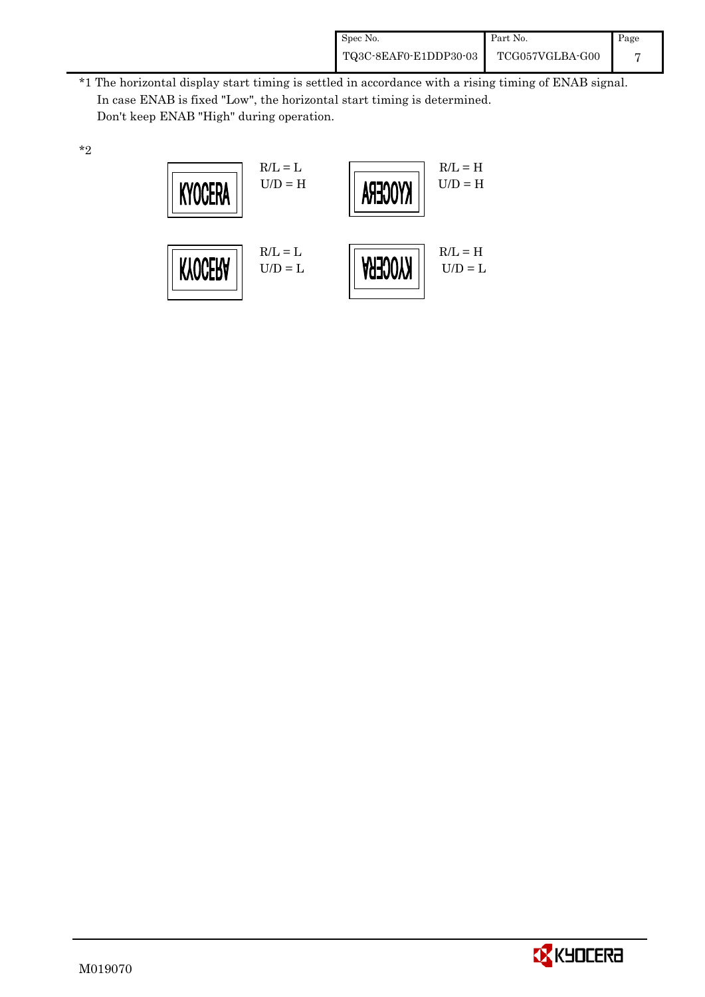| Spec No.              | Part No.        | Page |
|-----------------------|-----------------|------|
| TQ3C-8EAF0-E1DDP30-03 | TCG057VGLBA-G00 |      |

 \*1 The horizontal display start timing is settled in accordance with a rising timing of ENAB signal. In case ENAB is fixed "Low", the horizontal start timing is determined. Don't keep ENAB "High" during operation.





\*2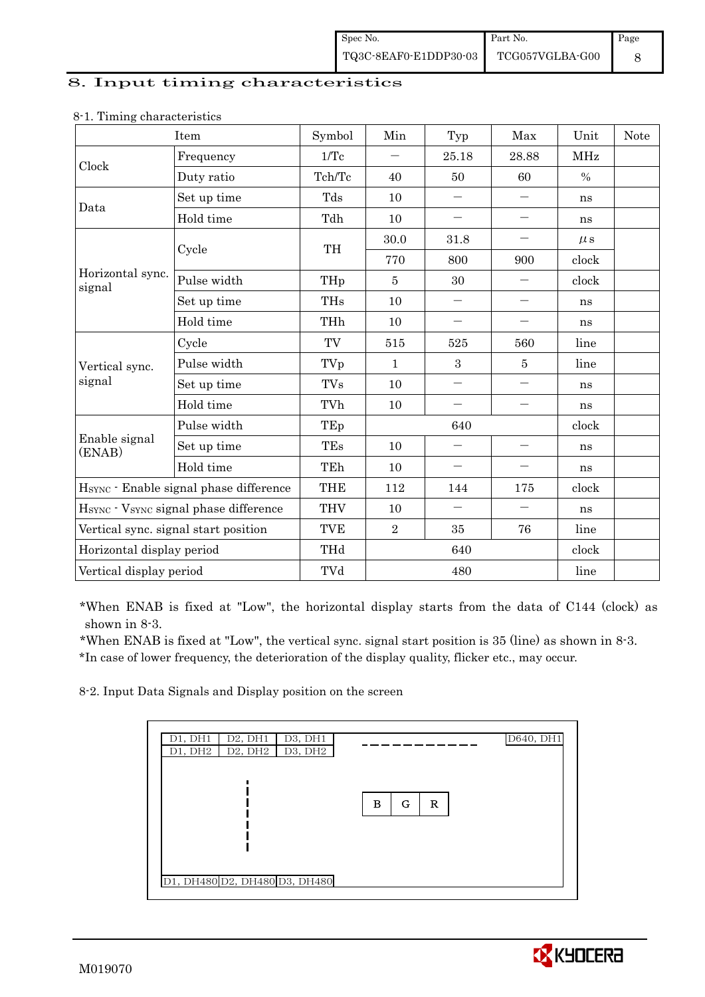#### 8. Input timing characteristics

|                            | Item                                   | Symbol     | Min          | Typ                      | Max                      | Unit          | <b>Note</b> |
|----------------------------|----------------------------------------|------------|--------------|--------------------------|--------------------------|---------------|-------------|
| Clock                      | Frequency                              | 1/Tc       |              | 25.18                    | 28.88                    | MHz           |             |
|                            | Duty ratio                             | Tch/Tc     | 40           | 50                       | 60                       | $\frac{0}{0}$ |             |
| Data                       | Set up time                            | Tds        | 10           | $\overline{\phantom{0}}$ | $\qquad \qquad -$        | ns            |             |
|                            | Hold time                              | Tdh        | 10           | $\qquad \qquad -$        | $\overline{\phantom{0}}$ | ns            |             |
|                            | Cycle                                  | TH         | 30.0         | 31.8                     | $\qquad \qquad -$        | $\mu$ s       |             |
|                            |                                        |            | 770          | 800                      | 900                      | clock         |             |
| Horizontal sync.<br>signal | Pulse width                            | THp        | 5            | 30                       | $\overline{\phantom{0}}$ | clock         |             |
|                            | Set up time                            | THs        | 10           | $\qquad \qquad -$        |                          | ns            |             |
|                            | Hold time                              | THh        | 10           | $\qquad \qquad -$        | $\qquad \qquad -$        | ns            |             |
|                            | Cycle                                  | TV         | 515          | 525                      | 560                      | line          |             |
| Vertical sync.             | Pulse width                            | TVp        | $\mathbf{1}$ | 3                        | 5                        | line          |             |
| signal                     | Set up time                            | <b>TVs</b> | 10           | $\overline{\phantom{0}}$ | $\overline{\phantom{0}}$ | ns            |             |
|                            | Hold time                              | TVh        | 10           |                          | $\overline{\phantom{0}}$ | ns            |             |
|                            | Pulse width                            | TEp        | 640          |                          |                          | clock         |             |
| Enable signal<br>(ENAB)    | Set up time                            | TEs        | 10           | $\overline{\phantom{0}}$ | $\qquad \qquad -$        | ns            |             |
|                            | Hold time                              | TEh        | 10           | $\qquad \qquad -$        | $\qquad \qquad -$        | ns            |             |
|                            | HSYNC · Enable signal phase difference | <b>THE</b> | 112          | 144                      | 175                      | clock         |             |
|                            | HSYNC · VSYNC signal phase difference  | <b>THV</b> | 10           | $\qquad \qquad -$        | $\qquad \qquad -$        | ns            |             |
|                            | Vertical sync. signal start position   | <b>TVE</b> | $\sqrt{2}$   | 35                       | 76                       | line          |             |
| Horizontal display period  |                                        | THd        |              | 640                      |                          | clock         |             |
| Vertical display period    |                                        | TVd        |              | 480                      |                          | line          |             |

#### 8-1. Timing characteristics

\*When ENAB is fixed at "Low", the horizontal display starts from the data of C144 (clock) as shown in 8-3.

 \*When ENAB is fixed at "Low", the vertical sync. signal start position is 35 (line) as shown in 8-3. \*In case of lower frequency, the deterioration of the display quality, flicker etc., may occur.

8-2. Input Data Signals and Display position on the screen

| D1, DH1<br>D2, DH1<br>D3, DH1 |                        | D640, DH1 |
|-------------------------------|------------------------|-----------|
| D2, DH2<br>D1, DH2<br>D3, DH2 |                        |           |
| D1, DH480 D2, DH480 D3, DH480 | в<br>G<br>$\mathbb{R}$ |           |

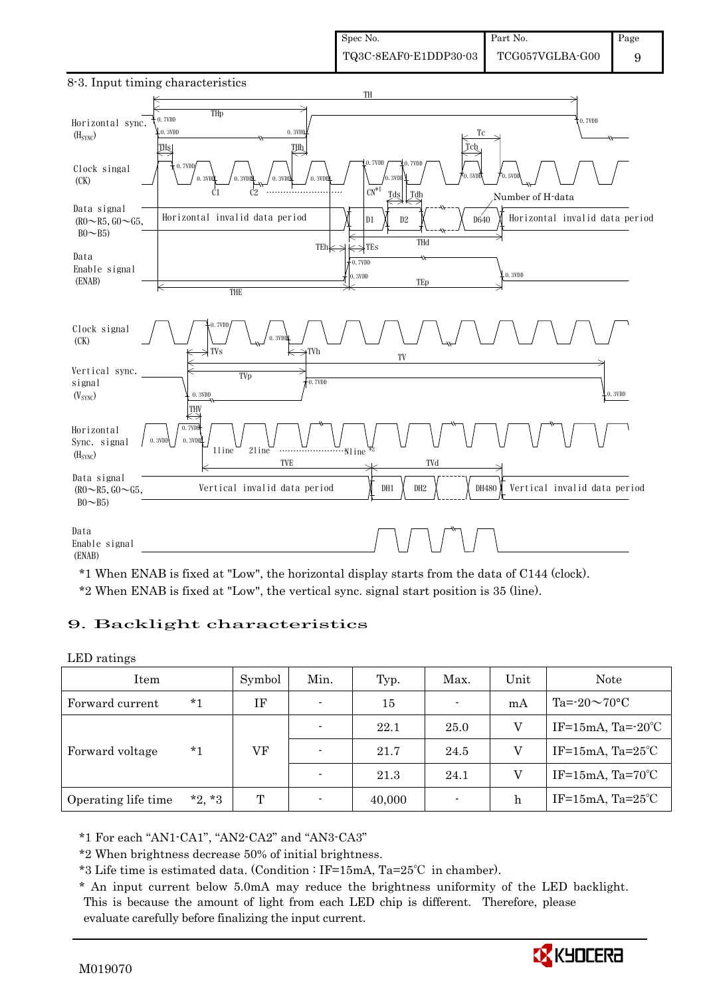

8-3. Input timing characteristics

\*1 When ENAB is fixed at "Low", the horizontal display starts from the data of C144 (clock). \*2 When ENAB is fixed at "Low", the vertical sync. signal start position is 35 (line).

#### 9. Backlight characteristics

LED ratings

| Item                |          | Symbol | Min.                     | Typ.   | Max.           | Unit | Note                         |
|---------------------|----------|--------|--------------------------|--------|----------------|------|------------------------------|
| Forward current     | *1       | ΙF     | $\overline{\phantom{0}}$ | 15     | $\blacksquare$ | mA   | Ta= $-20 \sim 70$ °C         |
|                     | $*_{1}$  | VF     | $\overline{\phantom{0}}$ | 22.1   | 25.0           | V    | IF=15mA, Ta= $-20^{\circ}$ C |
| Forward voltage     |          |        | $\overline{\phantom{0}}$ | 21.7   | 24.5           | V    | IF=15mA, $Ta=25^{\circ}C$    |
|                     |          |        |                          | 21.3   | 24.1           | V    | IF=15mA, $Ta=70^{\circ}C$    |
| Operating life time | $*2, *3$ | T      |                          | 40,000 | ٠              | h    | IF=15mA, $Ta=25^{\circ}C$    |

\*1 For each "AN1-CA1", "AN2-CA2" and "AN3-CA3"

\*2 When brightness decrease 50% of initial brightness.

\*3 Life time is estimated data. (Condition : IF=15mA, Ta=25℃ in chamber).

 \* An input current below 5.0mA may reduce the brightness uniformity of the LED backlight. This is because the amount of light from each LED chip is different. Therefore, please evaluate carefully before finalizing the input current.

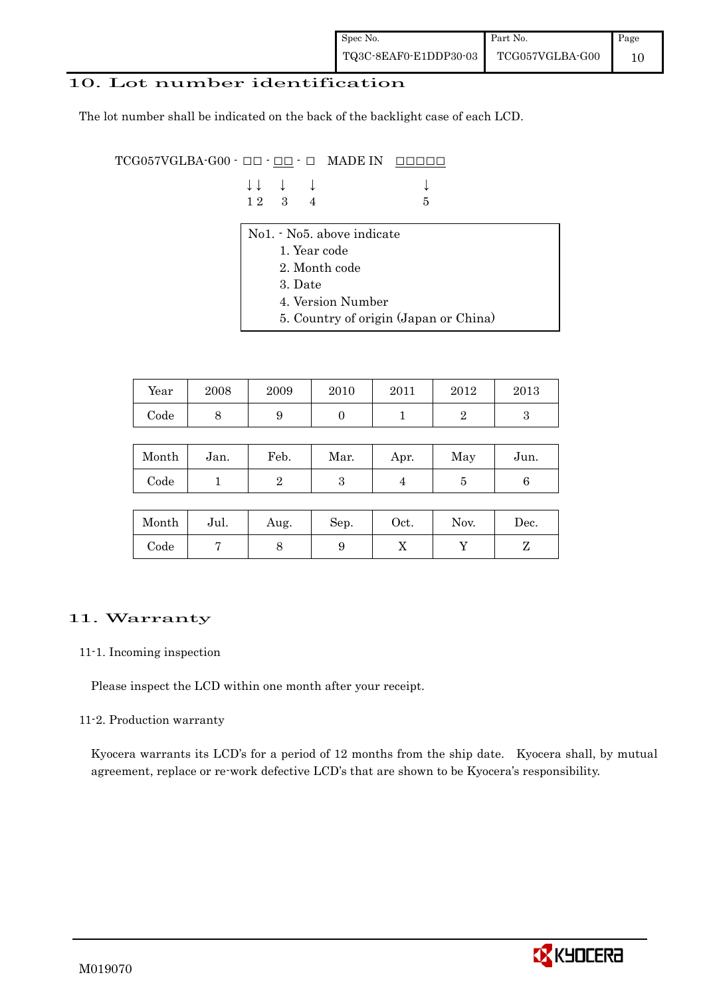#### 10. Lot number identification

The lot number shall be indicated on the back of the backlight case of each LCD.

 $TCG057VGLBA-G00 - □ - □ - □$  MADE IN  $\Box$  $\Box$  $\Box$  $\Box$ 

| $\downarrow \downarrow$ $\downarrow$ $\downarrow$ |  |      |
|---------------------------------------------------|--|------|
| $12 \quad 3 \quad 4$                              |  | $-5$ |

- No1. No5. above indicate
	- 1. Year code
	- 2. Month code
	- 3. Date
	- 4. Version Number
	- 5. Country of origin (Japan or China)

| Year | 2008 | 2009 | 2010 | 2011 | 2012 | 2013 |
|------|------|------|------|------|------|------|
| Code | ◡    |      |      |      |      |      |

| Month | Jan. | Feb. | Mar. | Apr. | May | Jun. |
|-------|------|------|------|------|-----|------|
| Code  |      |      | ౿    |      |     |      |

| Month      | Jul. | Aug. | Sep. | $_{\rm Oct.}$ | Nov. | Dec. |
|------------|------|------|------|---------------|------|------|
| $\rm Code$ |      |      |      | ∡⊾            |      |      |

### 11. Warranty

#### 11-1. Incoming inspection

Please inspect the LCD within one month after your receipt.

#### 11-2. Production warranty

 Kyocera warrants its LCD's for a period of 12 months from the ship date. Kyocera shall, by mutual agreement, replace or re-work defective LCD's that are shown to be Kyocera's responsibility.

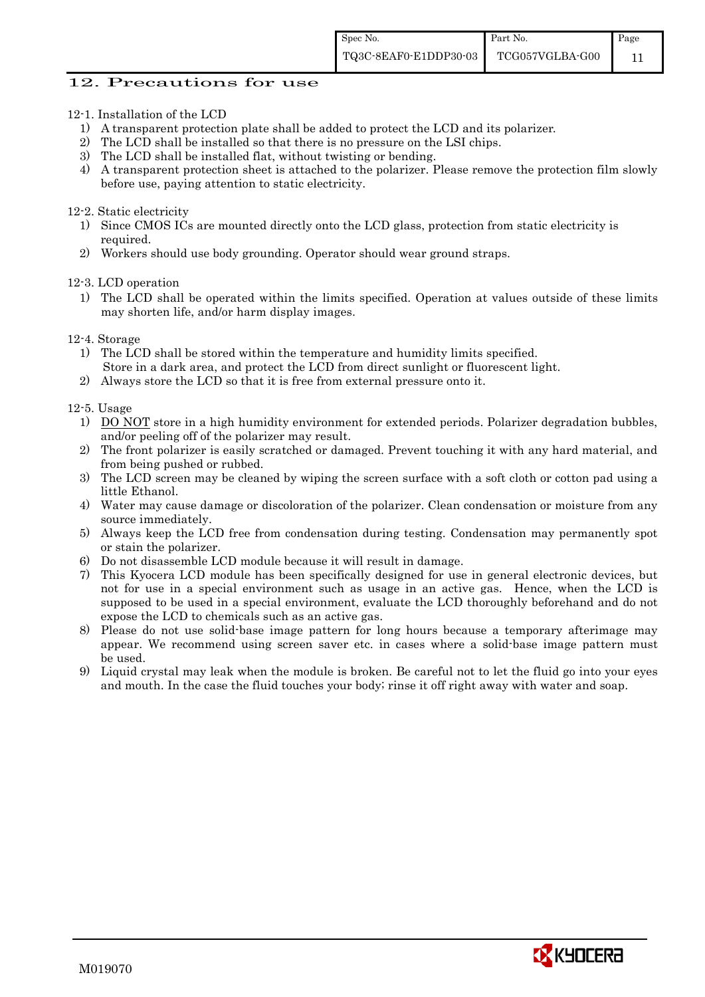#### 12. Precautions for use

- 12-1. Installation of the LCD
	- 1) A transparent protection plate shall be added to protect the LCD and its polarizer.
	- 2) The LCD shall be installed so that there is no pressure on the LSI chips.
	- 3) The LCD shall be installed flat, without twisting or bending.
	- 4) A transparent protection sheet is attached to the polarizer. Please remove the protection film slowly before use, paying attention to static electricity.

#### 12-2. Static electricity

- 1) Since CMOS ICs are mounted directly onto the LCD glass, protection from static electricity is required.
- 2) Workers should use body grounding. Operator should wear ground straps.

12-3. LCD operation

- 1) The LCD shall be operated within the limits specified. Operation at values outside of these limits may shorten life, and/or harm display images.
- 12-4. Storage
	- 1) The LCD shall be stored within the temperature and humidity limits specified. Store in a dark area, and protect the LCD from direct sunlight or fluorescent light.
	- 2) Always store the LCD so that it is free from external pressure onto it.

12-5. Usage

- 1) DO NOT store in a high humidity environment for extended periods. Polarizer degradation bubbles, and/or peeling off of the polarizer may result.
- 2) The front polarizer is easily scratched or damaged. Prevent touching it with any hard material, and from being pushed or rubbed.
- 3) The LCD screen may be cleaned by wiping the screen surface with a soft cloth or cotton pad using a little Ethanol.
- 4) Water may cause damage or discoloration of the polarizer. Clean condensation or moisture from any source immediately.
- 5) Always keep the LCD free from condensation during testing. Condensation may permanently spot or stain the polarizer.
- 6) Do not disassemble LCD module because it will result in damage.
- 7) This Kyocera LCD module has been specifically designed for use in general electronic devices, but not for use in a special environment such as usage in an active gas. Hence, when the LCD is supposed to be used in a special environment, evaluate the LCD thoroughly beforehand and do not expose the LCD to chemicals such as an active gas.
- 8) Please do not use solid-base image pattern for long hours because a temporary afterimage may appear. We recommend using screen saver etc. in cases where a solid-base image pattern must be used.
- 9) Liquid crystal may leak when the module is broken. Be careful not to let the fluid go into your eyes and mouth. In the case the fluid touches your body; rinse it off right away with water and soap.

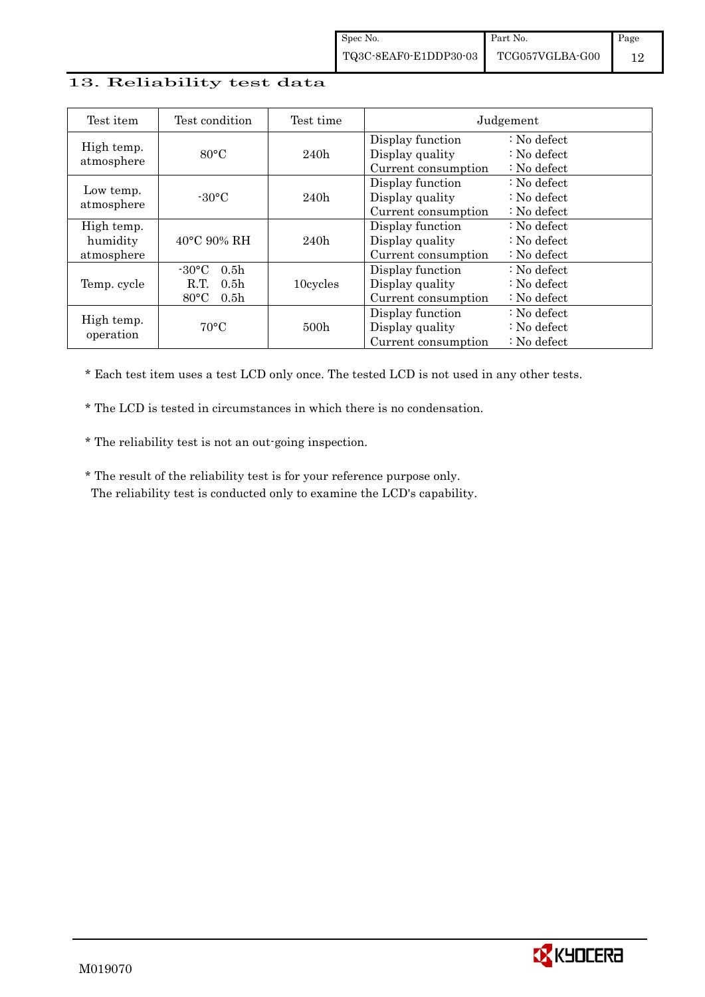#### 13. Reliability test data

| Test item                            | Test condition                                                                                       | Test time        |                                                            | Judgement                                                                  |
|--------------------------------------|------------------------------------------------------------------------------------------------------|------------------|------------------------------------------------------------|----------------------------------------------------------------------------|
| High temp.<br>atmosphere             | $80^{\circ}$ C                                                                                       | 240h             | Display function<br>Display quality<br>Current consumption | $\therefore$ No defect<br>$\therefore$ No defect<br>: No defect            |
| Low temp.<br>atmosphere              | $-30^{\circ}$ C                                                                                      | 240h             | Display function<br>Display quality<br>Current consumption | : No defect<br>$\therefore$ No defect<br>$\therefore$ No defect            |
| High temp.<br>humidity<br>atmosphere | $40^{\circ}$ C 90% RH                                                                                | 240h             | Display function<br>Display quality<br>Current consumption | $\therefore$ No defect<br>$\therefore$ No defect<br>$\therefore$ No defect |
| Temp. cycle                          | 0.5 <sub>h</sub><br>$-30\degree C$<br>R.T.<br>0.5 <sub>h</sub><br>$80^{\circ}$ C<br>0.5 <sub>h</sub> | 10cycles         | Display function<br>Display quality<br>Current consumption | $\therefore$ No defect<br>$\therefore$ No defect<br>$\therefore$ No defect |
| High temp.<br>operation              | $70^{\circ}$ C                                                                                       | 500 <sub>h</sub> | Display function<br>Display quality<br>Current consumption | $\therefore$ No defect<br>: No defect<br>$\therefore$ No defect            |

\* Each test item uses a test LCD only once. The tested LCD is not used in any other tests.

\* The LCD is tested in circumstances in which there is no condensation.

\* The reliability test is not an out-going inspection.

 \* The result of the reliability test is for your reference purpose only. The reliability test is conducted only to examine the LCD's capability.

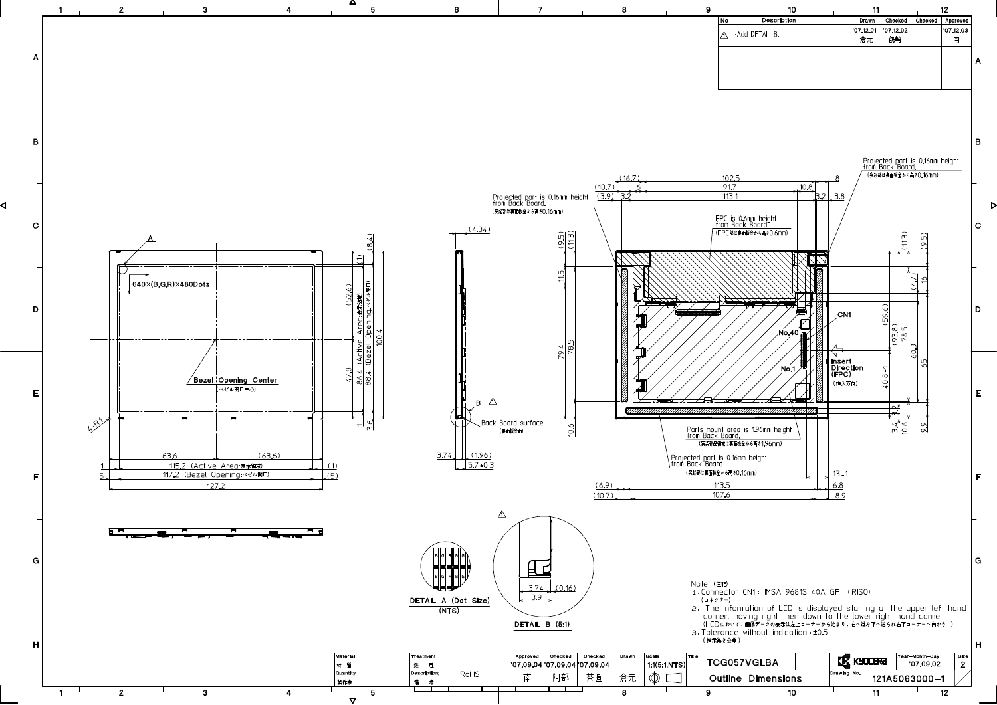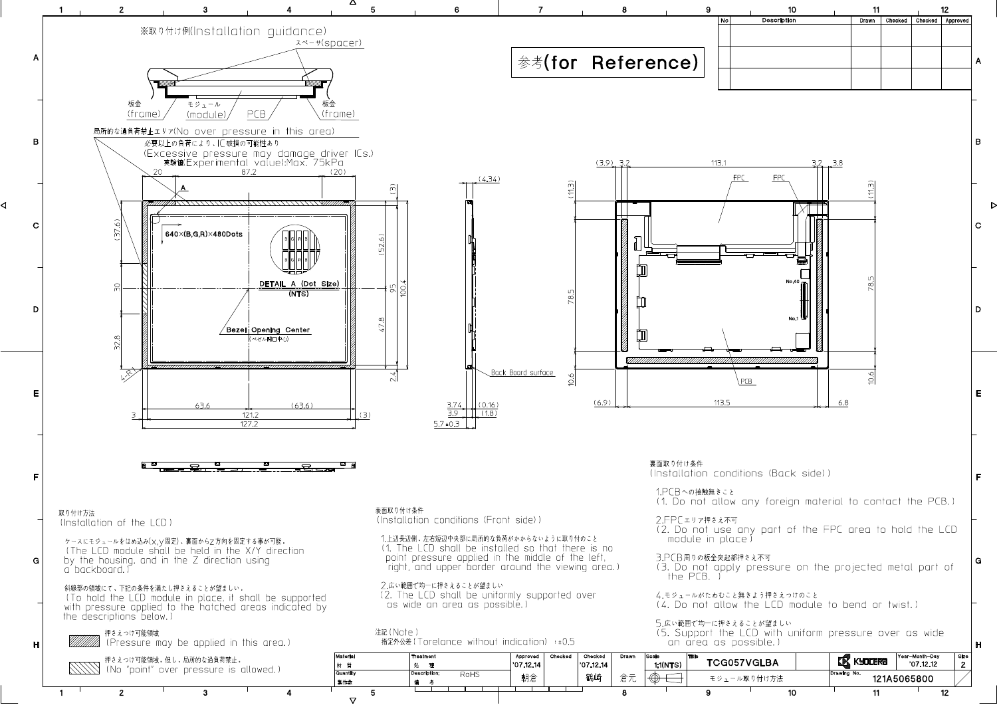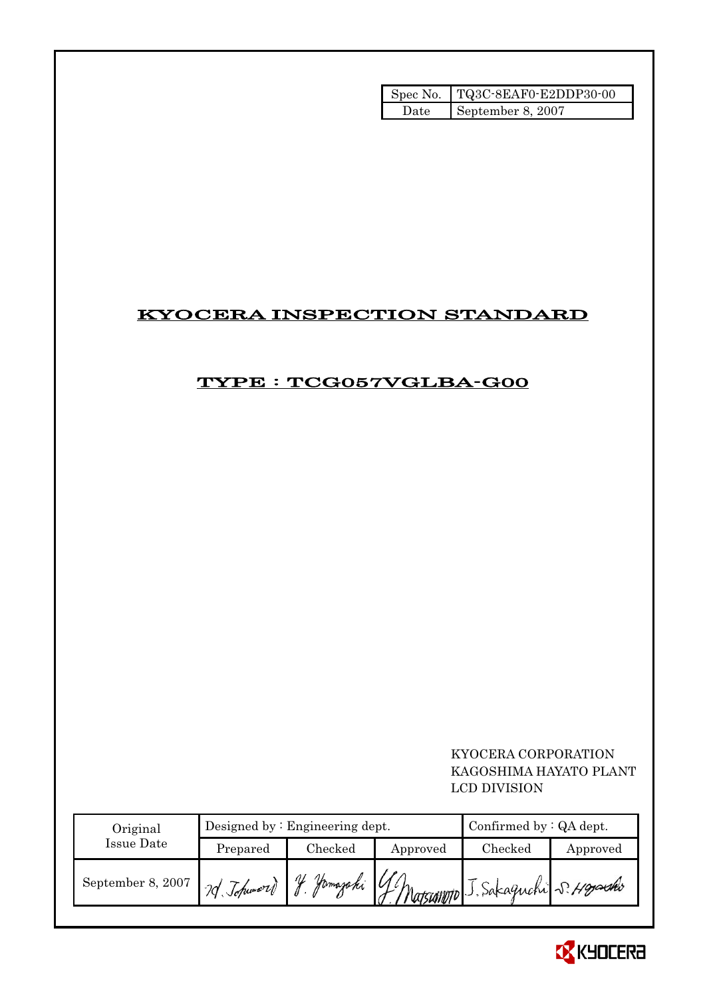|       | Spec No. TQ3C-8EAF0-E2DDP30-00 |
|-------|--------------------------------|
| Date. | September 8, 2007              |

## KYOCERA INSPECTION STANDARD

# TYPE : TCG057VGLBA-G00

### KYOCERA CORPORATION KAGOSHIMA HAYATO PLANT LCD DIVISION

| Original          |                | Designed by $:$ Engineering dept. | Confirmed by $:QA$ dept.                    |         |          |
|-------------------|----------------|-----------------------------------|---------------------------------------------|---------|----------|
| <b>Issue Date</b> | Prepared       | Checked                           | Approved                                    | Checked | Approved |
| September 8, 2007 | 20 Johnword J. |                                   | Jamazaki GMatsumono J. Sakaguchi S. Hoyseko |         |          |

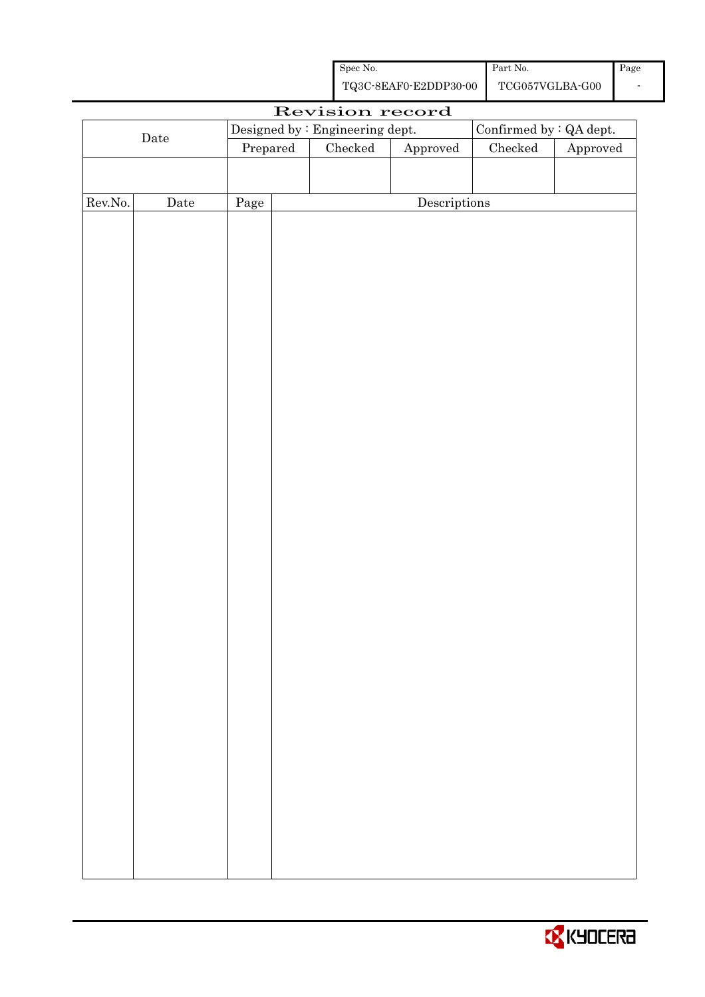| Spec No.              | Part No.        | Page |
|-----------------------|-----------------|------|
| TQ3C-8EAF0-E2DDP30-00 | TCG057VGLBA-G00 |      |

|             |             |          |  | Revision record                   |              |                         |          |
|-------------|-------------|----------|--|-----------------------------------|--------------|-------------------------|----------|
|             |             |          |  | Designed by : Engineering dept.   |              | Confirmed by : QA dept. |          |
| $\rm{Date}$ |             | Prepared |  | Checked<br>${\Large\bf Approved}$ |              | $\rm Checked$           | Approved |
|             |             |          |  |                                   |              |                         |          |
|             |             |          |  |                                   |              |                         |          |
| Rev.No.     | $\rm{Date}$ | Page     |  |                                   | Descriptions |                         |          |
|             |             |          |  |                                   |              |                         |          |
|             |             |          |  |                                   |              |                         |          |
|             |             |          |  |                                   |              |                         |          |
|             |             |          |  |                                   |              |                         |          |
|             |             |          |  |                                   |              |                         |          |
|             |             |          |  |                                   |              |                         |          |
|             |             |          |  |                                   |              |                         |          |
|             |             |          |  |                                   |              |                         |          |
|             |             |          |  |                                   |              |                         |          |
|             |             |          |  |                                   |              |                         |          |
|             |             |          |  |                                   |              |                         |          |
|             |             |          |  |                                   |              |                         |          |
|             |             |          |  |                                   |              |                         |          |
|             |             |          |  |                                   |              |                         |          |
|             |             |          |  |                                   |              |                         |          |
|             |             |          |  |                                   |              |                         |          |
|             |             |          |  |                                   |              |                         |          |
|             |             |          |  |                                   |              |                         |          |
|             |             |          |  |                                   |              |                         |          |
|             |             |          |  |                                   |              |                         |          |
|             |             |          |  |                                   |              |                         |          |
|             |             |          |  |                                   |              |                         |          |
|             |             |          |  |                                   |              |                         |          |
|             |             |          |  |                                   |              |                         |          |
|             |             |          |  |                                   |              |                         |          |
|             |             |          |  |                                   |              |                         |          |
|             |             |          |  |                                   |              |                         |          |
|             |             |          |  |                                   |              |                         |          |
|             |             |          |  |                                   |              |                         |          |
|             |             |          |  |                                   |              |                         |          |
|             |             |          |  |                                   |              |                         |          |
|             |             |          |  |                                   |              |                         |          |
|             |             |          |  |                                   |              |                         |          |
|             |             |          |  |                                   |              |                         |          |
|             |             |          |  |                                   |              |                         |          |
|             |             |          |  |                                   |              |                         |          |

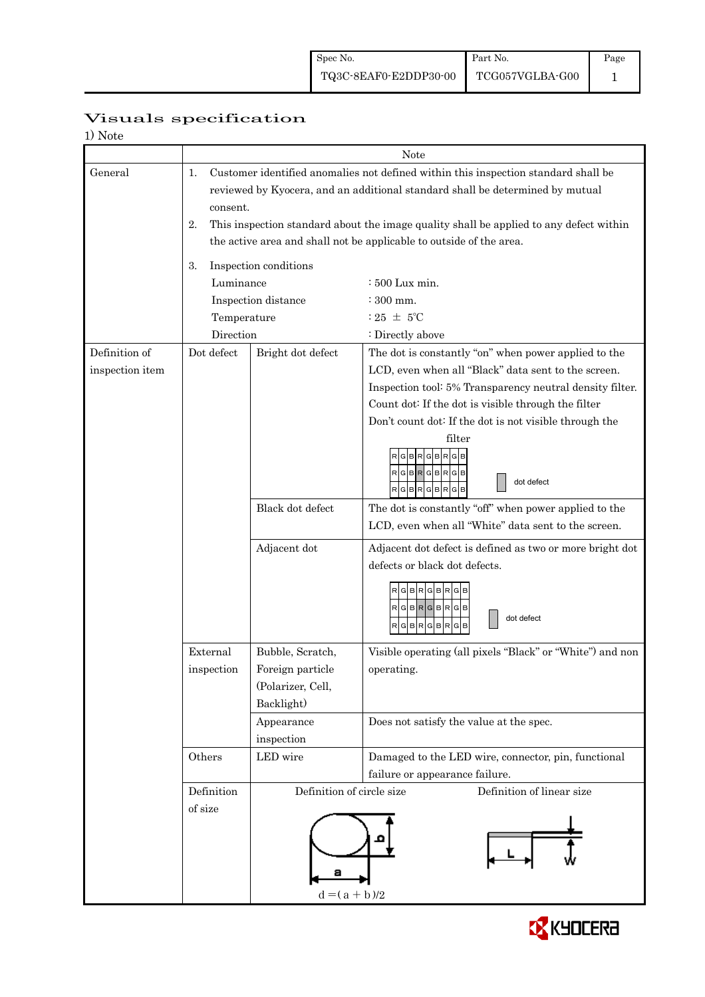| 1) Note         |                                                                                                                                                                                       |                           |                                                                                              |  |  |  |  |
|-----------------|---------------------------------------------------------------------------------------------------------------------------------------------------------------------------------------|---------------------------|----------------------------------------------------------------------------------------------|--|--|--|--|
|                 |                                                                                                                                                                                       | Note                      |                                                                                              |  |  |  |  |
| General         | Customer identified anomalies not defined within this inspection standard shall be<br>1.<br>reviewed by Kyocera, and an additional standard shall be determined by mutual<br>consent. |                           |                                                                                              |  |  |  |  |
|                 | 2.                                                                                                                                                                                    |                           | This inspection standard about the image quality shall be applied to any defect within       |  |  |  |  |
|                 | the active area and shall not be applicable to outside of the area.                                                                                                                   |                           |                                                                                              |  |  |  |  |
|                 | 3.<br>Luminance                                                                                                                                                                       | Inspection conditions     | : 500 Lux min.                                                                               |  |  |  |  |
|                 |                                                                                                                                                                                       | Inspection distance       | $:300$ mm.                                                                                   |  |  |  |  |
|                 | Temperature                                                                                                                                                                           |                           | : 25 $\pm$ 5°C                                                                               |  |  |  |  |
|                 | Direction                                                                                                                                                                             |                           | : Directly above                                                                             |  |  |  |  |
| Definition of   | Dot defect                                                                                                                                                                            | Bright dot defect         | The dot is constantly "on" when power applied to the                                         |  |  |  |  |
| inspection item |                                                                                                                                                                                       |                           | LCD, even when all "Black" data sent to the screen.                                          |  |  |  |  |
|                 |                                                                                                                                                                                       |                           | Inspection tool: 5% Transparency neutral density filter.                                     |  |  |  |  |
|                 |                                                                                                                                                                                       |                           | Count dot: If the dot is visible through the filter                                          |  |  |  |  |
|                 |                                                                                                                                                                                       |                           | Don't count dot: If the dot is not visible through the                                       |  |  |  |  |
|                 |                                                                                                                                                                                       |                           | filter<br>R G B R G B R G<br>RGBRGBRGB<br>dot defect<br>RGBRGBRGB                            |  |  |  |  |
|                 |                                                                                                                                                                                       | Black dot defect          | The dot is constantly "off" when power applied to the                                        |  |  |  |  |
|                 |                                                                                                                                                                                       |                           | LCD, even when all "White" data sent to the screen.                                          |  |  |  |  |
|                 |                                                                                                                                                                                       | Adjacent dot              | Adjacent dot defect is defined as two or more bright dot                                     |  |  |  |  |
|                 |                                                                                                                                                                                       |                           | defects or black dot defects.<br>R G B R G B R G<br>RGBRGBRGB<br>dot defect<br>GBRGBR<br>G B |  |  |  |  |
|                 | External                                                                                                                                                                              | Bubble, Scratch,          | Visible operating (all pixels "Black" or "White") and non                                    |  |  |  |  |
|                 | inspection                                                                                                                                                                            | Foreign particle          | operating.                                                                                   |  |  |  |  |
|                 |                                                                                                                                                                                       | (Polarizer, Cell,         |                                                                                              |  |  |  |  |
|                 |                                                                                                                                                                                       | Backlight)                |                                                                                              |  |  |  |  |
|                 |                                                                                                                                                                                       | Appearance<br>inspection  | Does not satisfy the value at the spec.                                                      |  |  |  |  |
|                 | Others                                                                                                                                                                                | LED wire                  | Damaged to the LED wire, connector, pin, functional                                          |  |  |  |  |
|                 |                                                                                                                                                                                       |                           | failure or appearance failure.                                                               |  |  |  |  |
|                 | Definition                                                                                                                                                                            | Definition of circle size | Definition of linear size                                                                    |  |  |  |  |
|                 | of size                                                                                                                                                                               | а<br>$d = (a + b)/2$      |                                                                                              |  |  |  |  |